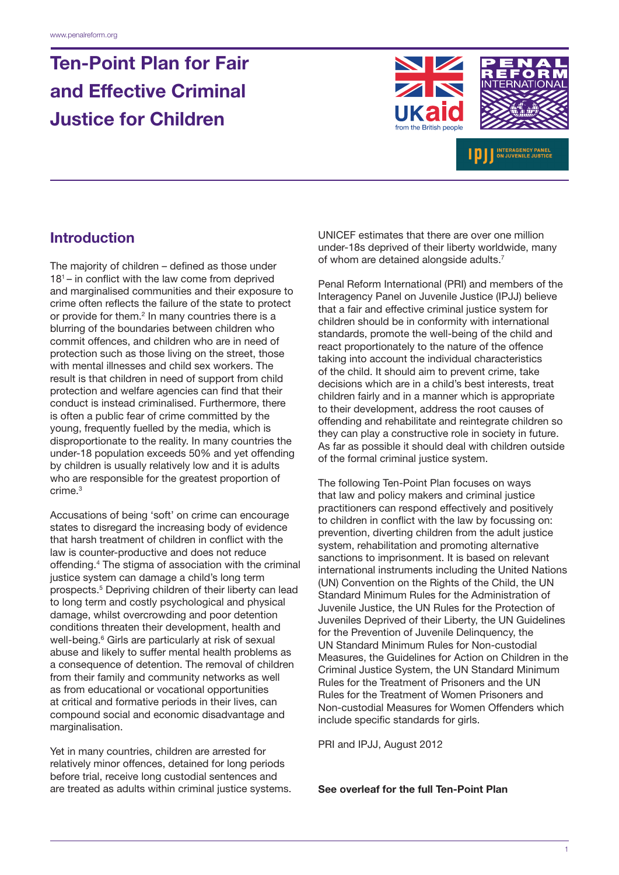# Ten-Point Plan for Fair and Effective Criminal Justice for Children





INTERAGENCY PANEL

Introduction

The majority of children – defined as those under  $18<sup>1</sup>$  – in conflict with the law come from deprived and marginalised communities and their exposure to crime often reflects the failure of the state to protect or provide for them. $2$  In many countries there is a blurring of the boundaries between children who commit offences, and children who are in need of protection such as those living on the street, those with mental illnesses and child sex workers. The result is that children in need of support from child protection and welfare agencies can find that their conduct is instead criminalised. Furthermore, there is often a public fear of crime committed by the young, frequently fuelled by the media, which is disproportionate to the reality. In many countries the under-18 population exceeds 50% and yet offending by children is usually relatively low and it is adults who are responsible for the greatest proportion of crime.3

Accusations of being 'soft' on crime can encourage states to disregard the increasing body of evidence that harsh treatment of children in conflict with the law is counter-productive and does not reduce offending.4 The stigma of association with the criminal justice system can damage a child's long term prospects.5 Depriving children of their liberty can lead to long term and costly psychological and physical damage, whilst overcrowding and poor detention conditions threaten their development, health and well-being.<sup>6</sup> Girls are particularly at risk of sexual abuse and likely to suffer mental health problems as a consequence of detention. The removal of children from their family and community networks as well as from educational or vocational opportunities at critical and formative periods in their lives, can compound social and economic disadvantage and marginalisation.

Yet in many countries, children are arrested for relatively minor offences, detained for long periods before trial, receive long custodial sentences and are treated as adults within criminal justice systems. UNICEF estimates that there are over one million under-18s deprived of their liberty worldwide, many of whom are detained alongside adults.7

Penal Reform International (PRI) and members of the Interagency Panel on Juvenile Justice (IPJJ) believe that a fair and effective criminal justice system for children should be in conformity with international standards, promote the well-being of the child and react proportionately to the nature of the offence taking into account the individual characteristics of the child. It should aim to prevent crime, take decisions which are in a child's best interests, treat children fairly and in a manner which is appropriate to their development, address the root causes of offending and rehabilitate and reintegrate children so they can play a constructive role in society in future. As far as possible it should deal with children outside of the formal criminal justice system.

The following Ten-Point Plan focuses on ways that law and policy makers and criminal justice practitioners can respond effectively and positively to children in conflict with the law by focussing on: prevention, diverting children from the adult justice system, rehabilitation and promoting alternative sanctions to imprisonment. It is based on relevant international instruments including the United Nations (UN) Convention on the Rights of the Child, the UN Standard Minimum Rules for the Administration of Juvenile Justice, the UN Rules for the Protection of Juveniles Deprived of their Liberty, the UN Guidelines for the Prevention of Juvenile Delinquency, the UN Standard Minimum Rules for Non-custodial Measures, the Guidelines for Action on Children in the Criminal Justice System, the UN Standard Minimum Rules for the Treatment of Prisoners and the UN Rules for the Treatment of Women Prisoners and Non-custodial Measures for Women Offenders which include specific standards for girls.

PRI and IPJJ, August 2012

See overleaf for the full Ten-Point Plan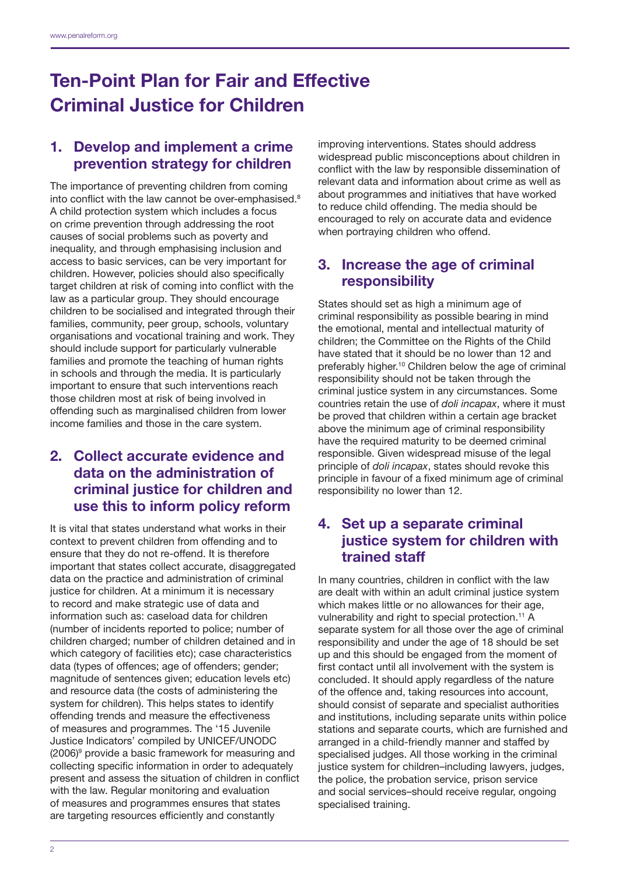# Ten-Point Plan for Fair and Effective Criminal Justice for Children

## 1. Develop and implement a crime prevention strategy for children

The importance of preventing children from coming into conflict with the law cannot be over-emphasised.<sup>8</sup> A child protection system which includes a focus on crime prevention through addressing the root causes of social problems such as poverty and inequality, and through emphasising inclusion and access to basic services, can be very important for children. However, policies should also specifically target children at risk of coming into conflict with the law as a particular group. They should encourage children to be socialised and integrated through their families, community, peer group, schools, voluntary organisations and vocational training and work. They should include support for particularly vulnerable families and promote the teaching of human rights in schools and through the media. It is particularly important to ensure that such interventions reach those children most at risk of being involved in offending such as marginalised children from lower income families and those in the care system.

### 2. Collect accurate evidence and data on the administration of criminal justice for children and use this to inform policy reform

It is vital that states understand what works in their context to prevent children from offending and to ensure that they do not re-offend. It is therefore important that states collect accurate, disaggregated data on the practice and administration of criminal justice for children. At a minimum it is necessary to record and make strategic use of data and information such as: caseload data for children (number of incidents reported to police; number of children charged; number of children detained and in which category of facilities etc); case characteristics data (types of offences; age of offenders; gender; magnitude of sentences given; education levels etc) and resource data (the costs of administering the system for children). This helps states to identify offending trends and measure the effectiveness of measures and programmes. The '15 Juvenile Justice Indicators' compiled by UNICEF/UNODC (2006)9 provide a basic framework for measuring and collecting specific information in order to adequately present and assess the situation of children in conflict with the law. Regular monitoring and evaluation of measures and programmes ensures that states are targeting resources efficiently and constantly

improving interventions. States should address widespread public misconceptions about children in conflict with the law by responsible dissemination of relevant data and information about crime as well as about programmes and initiatives that have worked to reduce child offending. The media should be encouraged to rely on accurate data and evidence when portraying children who offend.

### 3. Increase the age of criminal responsibility

States should set as high a minimum age of criminal responsibility as possible bearing in mind the emotional, mental and intellectual maturity of children; the Committee on the Rights of the Child have stated that it should be no lower than 12 and preferably higher.10 Children below the age of criminal responsibility should not be taken through the criminal justice system in any circumstances. Some countries retain the use of *doli incapax*, where it must be proved that children within a certain age bracket above the minimum age of criminal responsibility have the required maturity to be deemed criminal responsible. Given widespread misuse of the legal principle of *doli incapax*, states should revoke this principle in favour of a fixed minimum age of criminal responsibility no lower than 12.

### 4. Set up a separate criminal justice system for children with trained staff

In many countries, children in conflict with the law are dealt with within an adult criminal justice system which makes little or no allowances for their age, vulnerability and right to special protection.<sup>11</sup> A separate system for all those over the age of criminal responsibility and under the age of 18 should be set up and this should be engaged from the moment of first contact until all involvement with the system is concluded. It should apply regardless of the nature of the offence and, taking resources into account, should consist of separate and specialist authorities and institutions, including separate units within police stations and separate courts, which are furnished and arranged in a child-friendly manner and staffed by specialised judges. All those working in the criminal justice system for children–including lawyers, judges, the police, the probation service, prison service and social services–should receive regular, ongoing specialised training.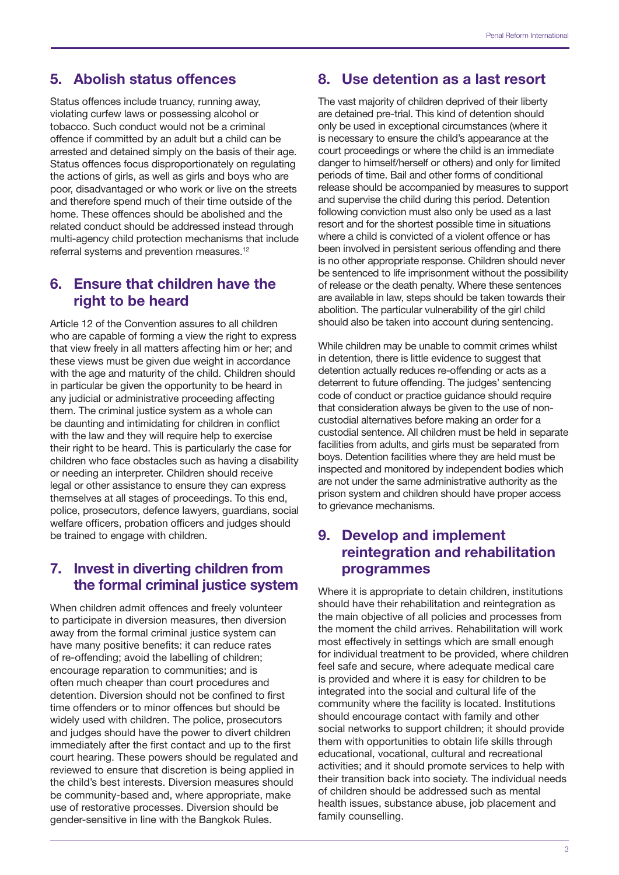#### 5. Abolish status offences

Status offences include truancy, running away, violating curfew laws or possessing alcohol or tobacco. Such conduct would not be a criminal offence if committed by an adult but a child can be arrested and detained simply on the basis of their age. Status offences focus disproportionately on regulating the actions of girls, as well as girls and boys who are poor, disadvantaged or who work or live on the streets and therefore spend much of their time outside of the home. These offences should be abolished and the related conduct should be addressed instead through multi-agency child protection mechanisms that include referral systems and prevention measures.<sup>12</sup>

#### 6. Ensure that children have the right to be heard

Article 12 of the Convention assures to all children who are capable of forming a view the right to express that view freely in all matters affecting him or her; and these views must be given due weight in accordance with the age and maturity of the child. Children should in particular be given the opportunity to be heard in any judicial or administrative proceeding affecting them. The criminal justice system as a whole can be daunting and intimidating for children in conflict with the law and they will require help to exercise their right to be heard. This is particularly the case for children who face obstacles such as having a disability or needing an interpreter. Children should receive legal or other assistance to ensure they can express themselves at all stages of proceedings. To this end, police, prosecutors, defence lawyers, guardians, social welfare officers, probation officers and judges should be trained to engage with children.

### 7. Invest in diverting children from the formal criminal justice system

When children admit offences and freely volunteer to participate in diversion measures, then diversion away from the formal criminal justice system can have many positive benefits: it can reduce rates of re-offending; avoid the labelling of children; encourage reparation to communities; and is often much cheaper than court procedures and detention. Diversion should not be confined to first time offenders or to minor offences but should be widely used with children. The police, prosecutors and judges should have the power to divert children immediately after the first contact and up to the first court hearing. These powers should be regulated and reviewed to ensure that discretion is being applied in the child's best interests. Diversion measures should be community-based and, where appropriate, make use of restorative processes. Diversion should be gender-sensitive in line with the Bangkok Rules.

#### 8. Use detention as a last resort

The vast majority of children deprived of their liberty are detained pre-trial. This kind of detention should only be used in exceptional circumstances (where it is necessary to ensure the child's appearance at the court proceedings or where the child is an immediate danger to himself/herself or others) and only for limited periods of time. Bail and other forms of conditional release should be accompanied by measures to support and supervise the child during this period. Detention following conviction must also only be used as a last resort and for the shortest possible time in situations where a child is convicted of a violent offence or has been involved in persistent serious offending and there is no other appropriate response. Children should never be sentenced to life imprisonment without the possibility of release or the death penalty. Where these sentences are available in law, steps should be taken towards their abolition. The particular vulnerability of the girl child should also be taken into account during sentencing.

While children may be unable to commit crimes whilst in detention, there is little evidence to suggest that detention actually reduces re-offending or acts as a deterrent to future offending. The judges' sentencing code of conduct or practice guidance should require that consideration always be given to the use of noncustodial alternatives before making an order for a custodial sentence. All children must be held in separate facilities from adults, and girls must be separated from boys. Detention facilities where they are held must be inspected and monitored by independent bodies which are not under the same administrative authority as the prison system and children should have proper access to grievance mechanisms.

#### 9. Develop and implement reintegration and rehabilitation programmes

Where it is appropriate to detain children, institutions should have their rehabilitation and reintegration as the main objective of all policies and processes from the moment the child arrives. Rehabilitation will work most effectively in settings which are small enough for individual treatment to be provided, where children feel safe and secure, where adequate medical care is provided and where it is easy for children to be integrated into the social and cultural life of the community where the facility is located. Institutions should encourage contact with family and other social networks to support children; it should provide them with opportunities to obtain life skills through educational, vocational, cultural and recreational activities; and it should promote services to help with their transition back into society. The individual needs of children should be addressed such as mental health issues, substance abuse, job placement and family counselling.